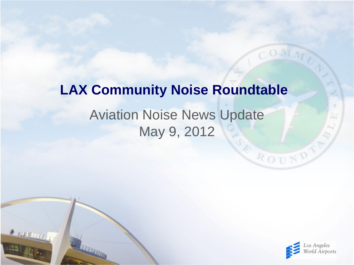# Aviation Noise News Update May 9, 2012 **LAX Community Noise Roundtable**

 $\frac{1}{2}$  running



ROUND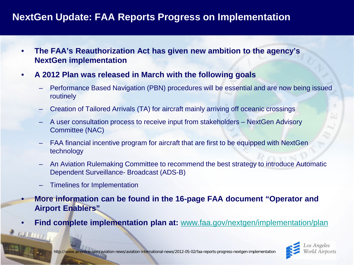### **NextGen Update: FAA Reports Progress on Implementation**

- **The FAA's Reauthorization Act has given new ambition to the agency's NextGen implementation**
- **A 2012 Plan was released in March with the following goals**
	- Performance Based Navigation (PBN) procedures will be essential and are now being issued routinely
	- Creation of Tailored Arrivals (TA) for aircraft mainly arriving off oceanic crossings
	- A user consultation process to receive input from stakeholders NextGen Advisory Committee (NAC)
	- FAA financial incentive program for aircraft that are first to be equipped with NextGen technology
	- An Aviation Rulemaking Committee to recommend the best strategy to introduce Automatic Dependent Surveillance- Broadcast (ADS-B)
	- Timelines for Implementation

 $2$  AUMERITY

- **More information can be found in the 16-page FAA document "Operator and Airport Enablers"**
- **Find complete implementation plan at:** [www.faa.gov/nextgen/implementation/plan](http://www.faa.gov/nextgen/implementation/plan)

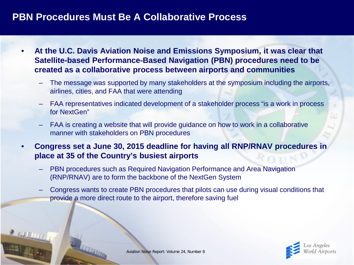#### **PBN Procedures Must Be A Collaborative Process**

- **At the U.C. Davis Aviation Noise and Emissions Symposium, it was clear that Satellite-based Performance-Based Navigation (PBN) procedures need to be created as a collaborative process between airports and communities**
	- The message was supported by many stakeholders at the symposium including the airports, airlines, cities, and FAA that were attending
	- FAA representatives indicated development of a stakeholder process "is a work in process for NextGen"
	- FAA is creating a website that will provide guidance on how to work in a collaborative manner with stakeholders on PBN procedures
- **Congress set a June 30, 2015 deadline for having all RNP/RNAV procedures in place at 35 of the Country's busiest airports**
	- PBN procedures such as Required Navigation Performance and Area Navigation (RNP/RNAV) are to form the backbone of the NextGen System
	- Congress wants to create PBN procedures that pilots can use during visual conditions that provide a more direct route to the airport, therefore saving fuel

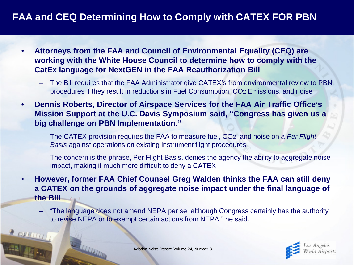## **FAA and CEQ Determining How to Comply with CATEX FOR PBN**

- **Attorneys from the FAA and Council of Environmental Equality (CEQ) are working with the White House Council to determine how to comply with the CatEx language for NextGEN in the FAA Reauthorization Bill**
	- The Bill requires that the FAA Administrator give CATEX's from environmental review to PBN procedures if they result in reductions in Fuel Consumption, CO2 Emissions, and noise
- **Dennis Roberts, Director of Airspace Services for the FAA Air Traffic Office's Mission Support at the U.C. Davis Symposium said, "Congress has given us a big challenge on PBN Implementation."**
	- The CATEX provision requires the FAA to measure fuel, CO2, and noise on a *Per Flight Basis* against operations on existing instrument flight procedures
	- The concern is the phrase, Per Flight Basis, denies the agency the ability to aggregate noise impact, making it much more difficult to deny a CATEX
- **However, former FAA Chief Counsel Greg Walden thinks the FAA can still deny a CATEX on the grounds of aggregate noise impact under the final language of the Bill**
	- "The language does not amend NEPA per se, although Congress certainly has the authority to revise NEPA or to exempt certain actions from NEPA," he said.



Aviation Noise Report: Volume 24, Number 8